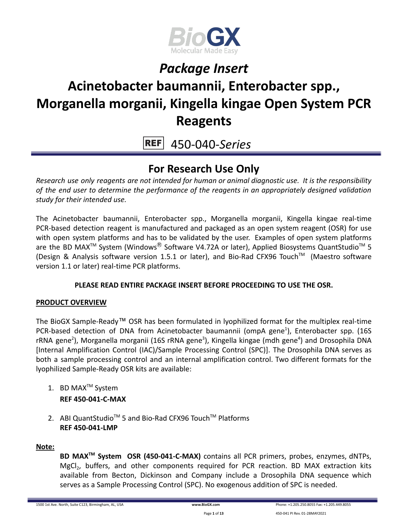

# **Acinetobacter baumannii, Enterobacter spp., Morganella morganii, Kingella kingae Open System PCR Reagents**

450-040-*Series* **REF** 

### **For Research Use Only**

*Research use only reagents are not intended for human or animal diagnostic use. It is the responsibility of the end user to determine the performance of the reagents in an appropriately designed validation study for their intended use.*

The Acinetobacter baumannii, Enterobacter spp., Morganella morganii, Kingella kingae real-time PCR-based detection reagent is manufactured and packaged as an open system reagent (OSR) for use with open system platforms and has to be validated by the user. Examples of open system platforms are the BD MAX<sup>™</sup> System (Windows<sup>®</sup> Software V4.72A or later), Applied Biosystems QuantStudio<sup>™</sup> 5 (Design & Analysis software version 1.5.1 or later), and Bio-Rad CFX96 Touch™ (Maestro software version 1.1 or later) real-time PCR platforms.

### **PLEASE READ ENTIRE PACKAGE INSERT BEFORE PROCEEDING TO USE THE OSR.**

### **PRODUCT OVERVIEW**

The BioGX Sample-Ready™ OSR has been formulated in lyophilized format for the multiplex real-time PCR-based detection of DNA from Acinetobacter baumannii (ompA gene<sup>1</sup>), Enterobacter spp. (16S rRNA gene<sup>2</sup>), Morganella morganii (16S rRNA gene<sup>3</sup>), Kingella kingae (mdh gene<sup>4</sup>) and Drosophila DNA [Internal Amplification Control (IAC)/Sample Processing Control (SPC)]. The Drosophila DNA serves as both a sample processing control and an internal amplification control. Two different formats for the lyophilized Sample-Ready OSR kits are available:

- 1. BD MAX<sup>™</sup> System **REF 450-041-C-MAX**
- 2. ABI QuantStudio<sup>™</sup> 5 and Bio-Rad CFX96 Touch™ Platforms **REF 450-041-LMP**

#### **Note:**

**BD MAXTM System OSR (450-041-C-MAX)** contains all PCR primers, probes, enzymes, dNTPs, MgCl<sub>2</sub>, buffers, and other components required for PCR reaction. BD MAX extraction kits available from Becton, Dickinson and Company include a Drosophila DNA sequence which serves as a Sample Processing Control (SPC). No exogenous addition of SPC is needed.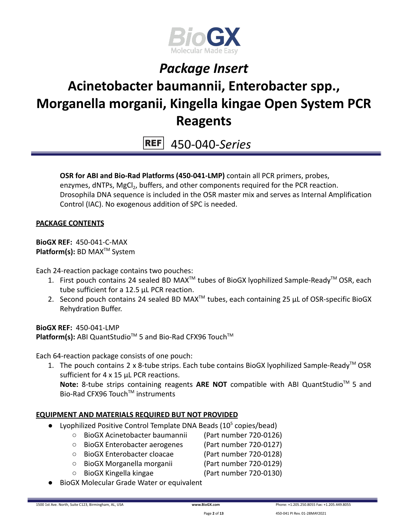

# **Acinetobacter baumannii, Enterobacter spp., Morganella morganii, Kingella kingae Open System PCR Reagents**

450-040-*Series* **REF** 

**OSR for ABI and Bio-Rad Platforms (450-041-LMP)** contain all PCR primers, probes, enzymes, dNTPs, MgCl<sub>2</sub>, buffers, and other components required for the PCR reaction. Drosophila DNA sequence is included in the OSR master mix and serves as Internal Amplification Control (IAC). No exogenous addition of SPC is needed.

#### **PACKAGE CONTENTS**

**BioGX REF:** 450-041-C-MAX **Platform(s):** BD MAX<sup>™</sup> System

Each 24-reaction package contains two pouches:

- 1. First pouch contains 24 sealed BD MAX<sup>™</sup> tubes of BioGX lyophilized Sample-Ready<sup>™</sup> OSR, each tube sufficient for a 12.5 µL PCR reaction.
- 2. Second pouch contains 24 sealed BD MAX<sup>™</sup> tubes, each containing 25  $\mu$ L of OSR-specific BioGX Rehydration Buffer.

**BioGX RFF: 450-041-LMP** Platform(s): ABI QuantStudio<sup>™</sup> 5 and Bio-Rad CFX96 Touch<sup>™</sup>

Each 64-reaction package consists of one pouch:

1. The pouch contains 2 x 8-tube strips. Each tube contains BioGX lyophilized Sample-Ready<sup>™</sup> OSR sufficient for 4 x 15 µL PCR reactions.

Note: 8-tube strips containing reagents ARE NOT compatible with ABI QuantStudio<sup>™</sup> 5 and Bio-Rad CFX96 Touch™ instruments

### **EQUIPMENT AND MATERIALS REQUIRED BUT NOT PROVIDED**

- Lyophilized Positive Control Template DNA Beads  $(10^5 \text{ copies/head})$ 
	- BioGX Acinetobacter baumannii (Part number 720-0126)
	- BioGX Enterobacter aerogenes (Part number 720-0127)
	- BioGX Enterobacter cloacae (Part number 720-0128)
	- BioGX Morganella morganii (Part number 720-0129)
		-
	-
	- BioGX Kingella kingae (Part number 720-0130)
- **BioGX Molecular Grade Water or equivalent**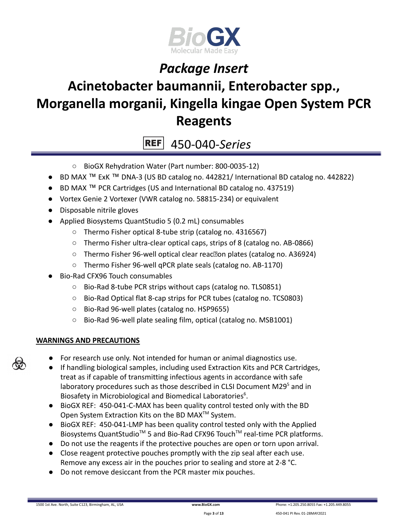

# **Acinetobacter baumannii, Enterobacter spp., Morganella morganii, Kingella kingae Open System PCR Reagents**

450-040-*Series* **REF** 

- BioGX Rehydration Water (Part number: 800-0035-12)
- BD MAX ™ ExK ™ DNA-3 (US BD catalog no. 442821/ International BD catalog no. 442822)
- BD MAX ™ PCR Cartridges (US and International BD catalog no. 437519)
- Vortex Genie 2 Vortexer (VWR catalog no. 58815-234) or equivalent
- Disposable nitrile gloves
- Applied Biosystems QuantStudio 5 (0.2 mL) consumables
	- Thermo Fisher optical 8-tube strip (catalog no. 4316567)
	- Thermo Fisher ultra-clear optical caps, strips of 8 (catalog no. AB-0866)
	- Thermo Fisher 96-well optical clear reac<br>
	<sub>[2010</sub>] plates (catalog no. A36924)
	- Thermo Fisher 96-well qPCR plate seals (catalog no. AB-1170)
- Bio-Rad CFX96 Touch consumables
	- Bio-Rad 8-tube PCR strips without caps (catalog no. TLS0851)
	- Bio-Rad Optical flat 8-cap strips for PCR tubes (catalog no. TCS0803)
	- Bio-Rad 96-well plates (catalog no. HSP9655)
	- Bio-Rad 96-well plate sealing film, optical (catalog no. MSB1001)

### **WARNINGS AND PRECAUTIONS**

- For research use only. Not intended for human or animal diagnostics use.
- If handling biological samples, including used Extraction Kits and PCR Cartridges, treat as if capable of transmitting infectious agents in accordance with safe laboratory procedures such as those described in CLSI Document M29<sup>5</sup> and in Biosafety in Microbiological and Biomedical Laboratories<sup>6</sup>.
- BioGX REF: 450-041-C-MAX has been quality control tested only with the BD Open System Extraction Kits on the BD MAX<sup>™</sup> System.
- BioGX REF: 450-041-LMP has been quality control tested only with the Applied Biosystems QuantStudio<sup>™</sup> 5 and Bio-Rad CFX96 Touch<sup>™</sup> real-time PCR platforms.
- Do not use the reagents if the protective pouches are open or torn upon arrival.
- Close reagent protective pouches promptly with the zip seal after each use. Remove any excess air in the pouches prior to sealing and store at 2-8 °C.
- Do not remove desiccant from the PCR master mix pouches.

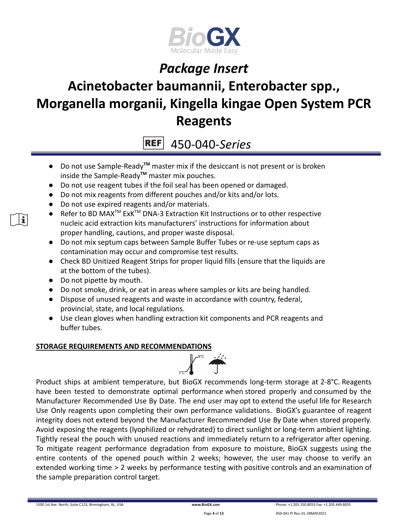

# **Acinetobacter baumannii, Enterobacter spp., Morganella morganii, Kingella kingae Open System PCR Reagents**

450-040-*Series*

- Do not use Sample-Ready**TM** master mix if the desiccant is not present or is broken inside the Sample-Ready**TM** master mix pouches.
- Do not use reagent tubes if the foil seal has been opened or damaged.
- Do not mix reagents from different pouches and/or kits and/or lots.
- Do not use expired reagents and/or materials.
- Refer to BD MAX<sup>™</sup> ExK<sup>™</sup> DNA-3 Extraction Kit Instructions or to other respective nucleic acid extraction kits manufacturers' instructions for information about proper handling, cautions, and proper waste disposal.
- Do not mix septum caps between Sample Buffer Tubes or re-use septum caps as contamination may occur and compromise test results.
- Check BD Unitized Reagent Strips for proper liquid fills (ensure that the liquids are at the bottom of the tubes).
- Do not pipette by mouth.
- Do not smoke, drink, or eat in areas where samples or kits are being handled.
- Dispose of unused reagents and waste in accordance with country, federal, provincial, state, and local regulations.
- Use clean gloves when handling extraction kit components and PCR reagents and buffer tubes.

### **STORAGE REQUIREMENTS AND RECOMMENDATIONS**



Product ships at ambient temperature, but BioGX recommends long-term storage at 2-8°C. Reagents have been tested to demonstrate optimal performance when stored properly and consumed by the Manufacturer Recommended Use By Date. The end user may opt to extend the useful life for Research Use Only reagents upon completing their own performance validations. BioGX's guarantee of reagent integrity does not extend beyond the Manufacturer Recommended Use By Date when stored properly. Avoid exposing the reagents (lyophilized or rehydrated) to direct sunlight or long-term ambient lighting. Tightly reseal the pouch with unused reactions and immediately return to a refrigerator after opening. To mitigate reagent performance degradation from exposure to moisture, BioGX suggests using the entire contents of the opened pouch within 2 weeks; however, the user may choose to verify an extended working time > 2 weeks by performance testing with positive controls and an examination of the sample preparation control target.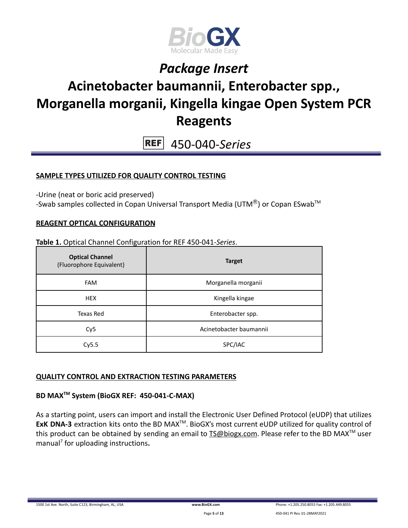

### **Acinetobacter baumannii, Enterobacter spp., Morganella morganii, Kingella kingae Open System PCR Reagents**

450-040-*Series* **REF** 

### **SAMPLE TYPES UTILIZED FOR QUALITY CONTROL TESTING**

-Urine (neat or boric acid preserved)

-Swab samples collected in Copan Universal Transport Media (UTM $^{\circledR}$ ) or Copan ESwab<sup>TM</sup>

#### **REAGENT OPTICAL CONFIGURATION**

**Table 1.** Optical Channel Configuration for REF 450-041-*Series*.

| <b>Optical Channel</b><br>(Fluorophore Equivalent) | <b>Target</b>           |  |
|----------------------------------------------------|-------------------------|--|
| <b>FAM</b>                                         | Morganella morganii     |  |
| <b>HEX</b>                                         | Kingella kingae         |  |
| Texas Red                                          | Enterobacter spp.       |  |
| Cy <sub>5</sub>                                    | Acinetobacter baumannii |  |
| Cy5.5                                              | SPC/IAC                 |  |

### **QUALITY CONTROL AND EXTRACTION TESTING PARAMETERS**

### **BD MAXTM System (BioGX REF: 450-041-C-MAX)**

As a starting point, users can import and install the Electronic User Defined Protocol (eUDP) that utilizes ExK DNA-3 extraction kits onto the BD MAX<sup>™</sup>. BioGX's most current eUDP utilized for quality control of this product can be obtained by sending an email to [TS@biogx.com](mailto:TS@biogx.com). Please refer to the BD MAX<sup>TM</sup> user manual<sup>7</sup> for uploading instructions**.**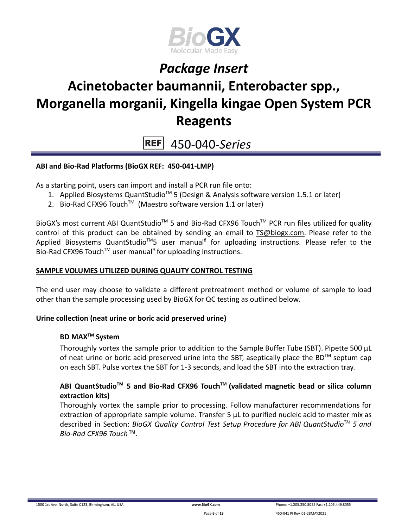

# **Acinetobacter baumannii, Enterobacter spp., Morganella morganii, Kingella kingae Open System PCR Reagents**

450-040-*Series*  $REF$ 

### **ABI and Bio-Rad Platforms (BioGX REF: 450-041-LMP)**

As a starting point, users can import and install a PCR run file onto:

- 1. Applied Biosystems QuantStudio<sup>™</sup> 5 (Design & Analysis software version 1.5.1 or later)
- 2. Bio-Rad CFX96 Touch<sup>™</sup> (Maestro software version 1.1 or later)

BioGX's most current ABI QuantStudio<sup>™</sup> 5 and Bio-Rad CFX96 Touch<sup>™</sup> PCR run files utilized for quality control of this product can be obtained by sending an email to [TS@biogx.com.](mailto:TS@biogx.com) Please refer to the Applied Biosystems QuantStudio<sup>™</sup>5 user manual<sup>8</sup> for uploading instructions. Please refer to the Bio-Rad CFX96 Touch<sup>™</sup> user manual<sup>9</sup> for uploading instructions.

#### **SAMPLE VOLUMES UTILIZED DURING QUALITY CONTROL TESTING**

The end user may choose to validate a different pretreatment method or volume of sample to load other than the sample processing used by BioGX for QC testing as outlined below.

#### **Urine collection (neat urine or boric acid preserved urine)**

#### **BD MAXTM System**

Thoroughly vortex the sample prior to addition to the Sample Buffer Tube (SBT). Pipette 500 μL of neat urine or boric acid preserved urine into the SBT, aseptically place the BD<sup>TM</sup> septum cap on each SBT. Pulse vortex the SBT for 1-3 seconds, and load the SBT into the extraction tray.

### **ABI QuantStudioTM 5 and Bio-Rad CFX96 TouchTM (validated magnetic bead or silica column extraction kits)**

Thoroughly vortex the sample prior to processing. Follow manufacturer recommendations for extraction of appropriate sample volume. Transfer 5 μL to purified nucleic acid to master mix as described in Section: *BioGX Quality Control Test Setup Procedure for ABI QuantStudioTM 5 and Bio-Rad CFX96 Touch™.*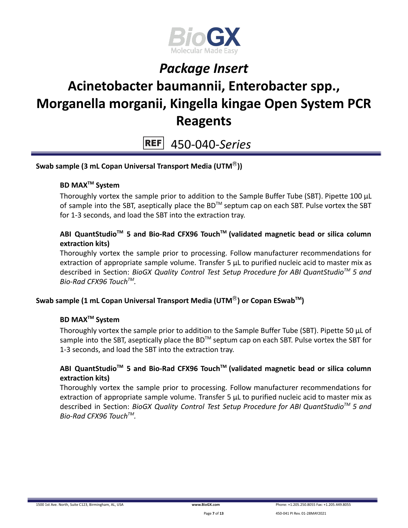

# **Acinetobacter baumannii, Enterobacter spp., Morganella morganii, Kingella kingae Open System PCR Reagents**

 $REF$ 450-040-*Series*

### **Swab sample (3 mL Copan Universal Transport Media (UTM**Ⓡ**))**

### **BD MAXTM System**

Thoroughly vortex the sample prior to addition to the Sample Buffer Tube (SBT). Pipette 100 μL of sample into the SBT, aseptically place the BD<sup>TM</sup> septum cap on each SBT. Pulse vortex the SBT for 1-3 seconds, and load the SBT into the extraction tray.

### **ABI QuantStudioTM 5 and Bio-Rad CFX96 TouchTM (validated magnetic bead or silica column extraction kits)**

Thoroughly vortex the sample prior to processing. Follow manufacturer recommendations for extraction of appropriate sample volume. Transfer 5 μL to purified nucleic acid to master mix as described in Section: *BioGX Quality Control Test Setup Procedure for ABI QuantStudioTM 5 and Bio-Rad CFX96 TouchTM .*

### **Swab sample (1 mL Copan Universal Transport Media (UTM**Ⓡ**) or Copan ESwabTM )**

#### **BD MAXTM System**

Thoroughly vortex the sample prior to addition to the Sample Buffer Tube (SBT). Pipette 50 μL of sample into the SBT, aseptically place the BD<sup>™</sup> septum cap on each SBT. Pulse vortex the SBT for 1-3 seconds, and load the SBT into the extraction tray.

### **ABI QuantStudioTM 5 and Bio-Rad CFX96 TouchTM (validated magnetic bead or silica column extraction kits)**

Thoroughly vortex the sample prior to processing. Follow manufacturer recommendations for extraction of appropriate sample volume. Transfer 5 μL to purified nucleic acid to master mix as described in Section: *BioGX Quality Control Test Setup Procedure for ABI QuantStudioTM 5 and Bio-Rad CFX96 TouchTM .*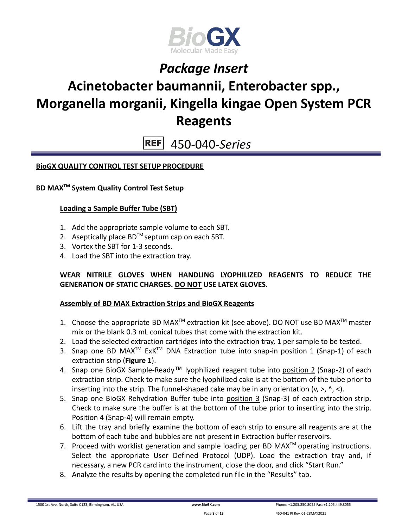

### **Acinetobacter baumannii, Enterobacter spp., Morganella morganii, Kingella kingae Open System PCR Reagents**

450-040-*Series*  $REF$ 

### **BioGX QUALITY CONTROL TEST SETUP PROCEDURE**

#### **BD MAXTM System Quality Control Test Setup**

#### **Loading a Sample Buffer Tube (SBT)**

- 1. Add the appropriate sample volume to each SBT.
- 2. Aseptically place  $BD^{TM}$  septum cap on each SBT.
- 3. Vortex the SBT for 1-3 seconds.
- 4. Load the SBT into the extraction tray.

#### **WEAR NITRILE GLOVES WHEN HANDLING LYOPHILIZED REAGENTS TO REDUCE THE GENERATION OF STATIC CHARGES. DO NOT USE LATEX GLOVES.**

#### **Assembly of BD MAX Extraction Strips and BioGX Reagents**

- 1. Choose the appropriate BD MAX<sup>TM</sup> extraction kit (see above). DO NOT use BD MAX<sup>TM</sup> master mix or the blank 0.3 mL conical tubes that come with the extraction kit.
- 2. Load the selected extraction cartridges into the extraction tray, 1 per sample to be tested.
- 3. Snap one BD MAX<sup>™</sup> ExK<sup>™</sup> DNA Extraction tube into snap-in position 1 (Snap-1) of each extraction strip (**Figure 1**).
- 4. Snap one BioGX Sample-Ready™ lyophilized reagent tube into position 2 (Snap-2) of each extraction strip. Check to make sure the lyophilized cake is at the bottom of the tube prior to inserting into the strip. The funnel-shaped cake may be in any orientation  $(v, >, \land, <)$ .
- 5. Snap one BioGX Rehydration Buffer tube into position 3 (Snap-3) of each extraction strip. Check to make sure the buffer is at the bottom of the tube prior to inserting into the strip. Position 4 (Snap-4) will remain empty.
- 6. Lift the tray and briefly examine the bottom of each strip to ensure all reagents are at the bottom of each tube and bubbles are not present in Extraction buffer reservoirs.
- 7. Proceed with worklist generation and sample loading per BD MAX $^{TM}$  operating instructions. Select the appropriate User Defined Protocol (UDP). Load the extraction tray and, if necessary, a new PCR card into the instrument, close the door, and click "Start Run."
- 8. Analyze the results by opening the completed run file in the "Results" tab.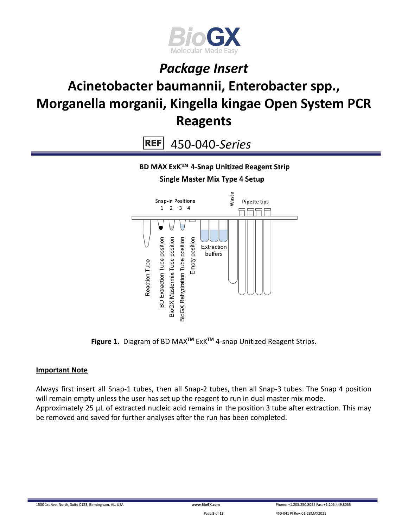

# **Acinetobacter baumannii, Enterobacter spp., Morganella morganii, Kingella kingae Open System PCR Reagents**

**REF** 450-040-*Series*

BD MAX ExK™ 4-Snap Unitized Reagent Strip

**Single Master Mix Type 4 Setup** 



**Figure 1.** Diagram of BD MAX**TM** ExK**TM** 4-snap Unitized Reagent Strips.

#### **Important Note**

Always first insert all Snap-1 tubes, then all Snap-2 tubes, then all Snap-3 tubes. The Snap 4 position will remain empty unless the user has set up the reagent to run in dual master mix mode. Approximately 25 µL of extracted nucleic acid remains in the position 3 tube after extraction. This may be removed and saved for further analyses after the run has been completed.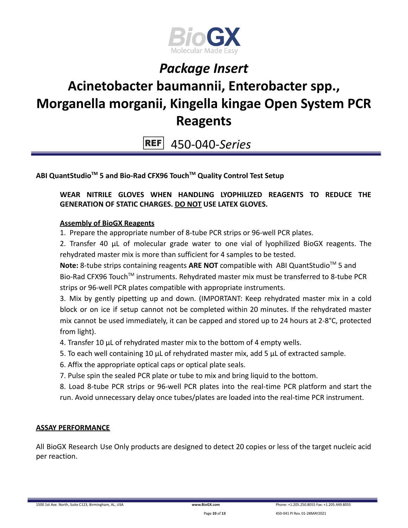

# **Acinetobacter baumannii, Enterobacter spp., Morganella morganii, Kingella kingae Open System PCR Reagents**

450-040-*Series* **REF** 

### **ABI QuantStudioTM 5 and Bio-Rad CFX96 TouchTM Quality Control Test Setup**

### **WEAR NITRILE GLOVES WHEN HANDLING LYOPHILIZED REAGENTS TO REDUCE THE GENERATION OF STATIC CHARGES. DO NOT USE LATEX GLOVES.**

#### **Assembly of BioGX Reagents**

1. Prepare the appropriate number of 8-tube PCR strips or 96-well PCR plates.

2. Transfer 40 μL of molecular grade water to one vial of lyophilized BioGX reagents. The rehydrated master mix is more than sufficient for 4 samples to be tested.

Note: 8-tube strips containing reagents ARE NOT compatible with ABI QuantStudio<sup>™</sup> 5 and Bio-Rad CFX96 Touch<sup>™</sup> instruments. Rehydrated master mix must be transferred to 8-tube PCR strips or 96-well PCR plates compatible with appropriate instruments.

3. Mix by gently pipetting up and down. (IMPORTANT: Keep rehydrated master mix in a cold block or on ice if setup cannot not be completed within 20 minutes. If the rehydrated master mix cannot be used immediately, it can be capped and stored up to 24 hours at 2-8°C, protected from light).

- 4. Transfer 10 μL of rehydrated master mix to the bottom of 4 empty wells.
- 5. To each well containing 10 μL of rehydrated master mix, add 5 μL of extracted sample.
- 6. Affix the appropriate optical caps or optical plate seals.
- 7. Pulse spin the sealed PCR plate or tube to mix and bring liquid to the bottom.

8. Load 8-tube PCR strips or 96-well PCR plates into the real-time PCR platform and start the run. Avoid unnecessary delay once tubes/plates are loaded into the real-time PCR instrument.

### **ASSAY PERFORMANCE**

All BioGX Research Use Only products are designed to detect 20 copies or less of the target nucleic acid per reaction.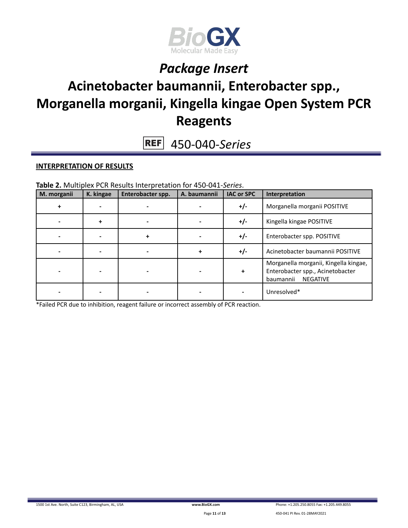

### **Acinetobacter baumannii, Enterobacter spp., Morganella morganii, Kingella kingae Open System PCR Reagents**

450-040-*Series* **REF** 

#### **INTERPRETATION OF RESULTS**

**Table 2.** Multiplex PCR Results Interpretation for 450-041-*Series*.

| M. morganii | K. kingae | Enterobacter spp. | A. baumannii | <b>IAC or SPC</b> | Interpretation                                                                                            |
|-------------|-----------|-------------------|--------------|-------------------|-----------------------------------------------------------------------------------------------------------|
|             |           |                   |              | $+/-$             | Morganella morganii POSITIVE                                                                              |
|             | ÷         |                   |              | $+/-$             | Kingella kingae POSITIVE                                                                                  |
|             |           | ٠                 |              | $+/-$             | Enterobacter spp. POSITIVE                                                                                |
|             |           |                   | ÷            | $+/-$             | Acinetobacter baumannii POSITIVE                                                                          |
|             |           |                   |              | +                 | Morganella morganii, Kingella kingae,<br>Enterobacter spp., Acinetobacter<br><b>NEGATIVE</b><br>baumannii |
|             |           |                   |              |                   | Unresolved*                                                                                               |

\*Failed PCR due to inhibition, reagent failure or incorrect assembly of PCR reaction.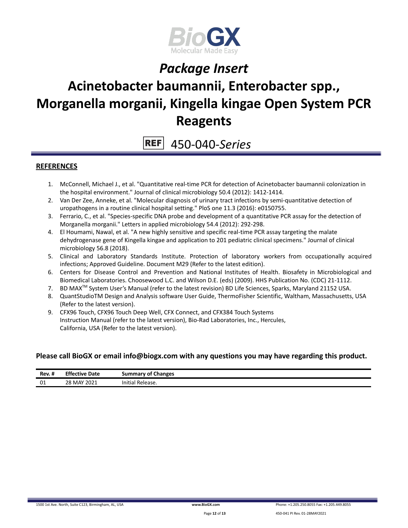

### **Acinetobacter baumannii, Enterobacter spp., Morganella morganii, Kingella kingae Open System PCR Reagents**

**REF** 450-040-*Series*

#### **REFERENCES**

- 1. McConnell, Michael J., et al. "Quantitative real-time PCR for detection of Acinetobacter baumannii colonization in the hospital environment." Journal of clinical microbiology 50.4 (2012): 1412-1414.
- 2. Van Der Zee, Anneke, et al. "Molecular diagnosis of urinary tract infections by semi-quantitative detection of uropathogens in a routine clinical hospital setting." PloS one 11.3 (2016): e0150755.
- 3. Ferrario, C., et al. "Species‐specific DNA probe and development of a quantitative PCR assay for the detection of Morganella morganii." Letters in applied microbiology 54.4 (2012): 292-298.
- 4. El Houmami, Nawal, et al. "A new highly sensitive and specific real-time PCR assay targeting the malate dehydrogenase gene of Kingella kingae and application to 201 pediatric clinical specimens." Journal of clinical microbiology 56.8 (2018).
- 5. Clinical and Laboratory Standards Institute. Protection of laboratory workers from occupationally acquired infections; Approved Guideline. Document M29 (Refer to the latest edition).
- 6. Centers for Disease Control and Prevention and National Institutes of Health. Biosafety in Microbiological and Biomedical Laboratories. Choosewood L.C. and Wilson D.E. (eds) (2009). HHS Publication No. (CDC) 21-1112.
- 7. BD MAX<sup>™</sup> System User's Manual (refer to the latest revision) BD Life Sciences, Sparks, Maryland 21152 USA.
- 8. QuantStudioTM Design and Analysis software User Guide, ThermoFisher Scientific, Waltham, Massachusetts, USA (Refer to the latest version).
- 9. CFX96 Touch, CFX96 Touch Deep Well, CFX Connect, and CFX384 Touch Systems Instruction Manual (refer to the latest version), Bio-Rad Laboratories, Inc., Hercules, California, USA (Refer to the latest version).

#### **Please call BioGX or email info@biogx.com with any questions you may have regarding this product.**

| Rev. #       | <b>Effective</b><br>Date<br>.         | <b>Changes</b><br>summary<br>∕ of ′ |
|--------------|---------------------------------------|-------------------------------------|
| $\sim$<br>◡∸ | <sup>›</sup> MAY 2021<br>28<br>$\sim$ | .<br>Initial<br>' Release.          |